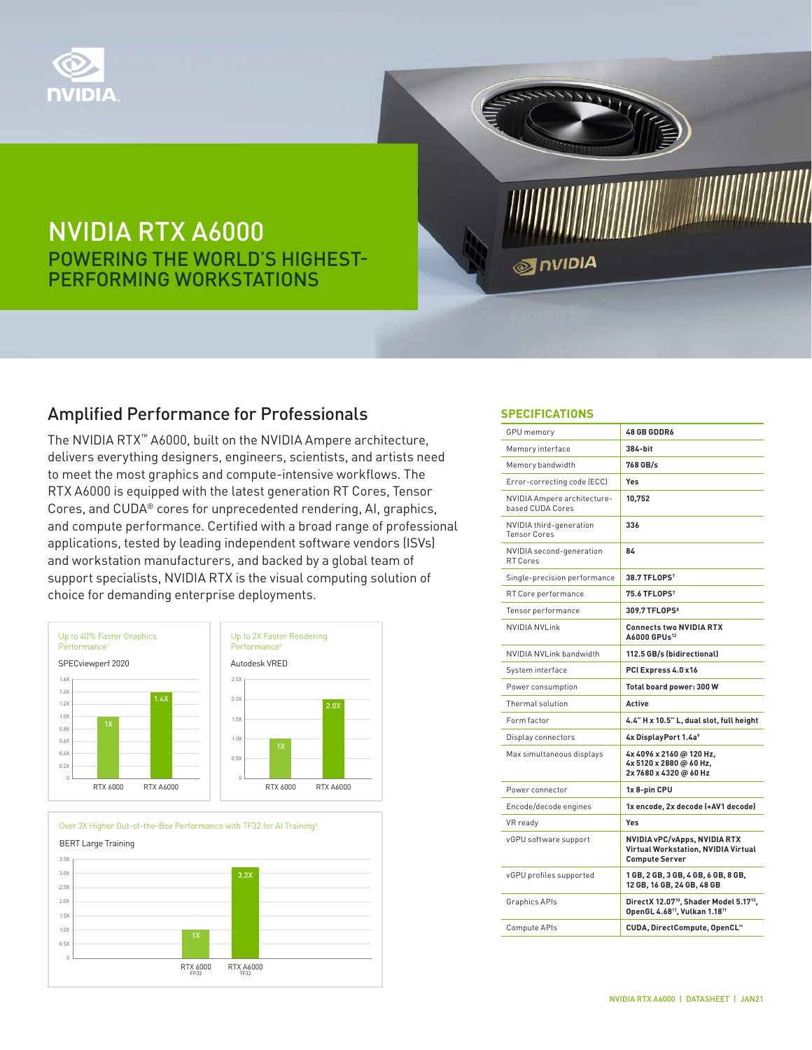

# NVIDIA RTX A6000 POWERING THE WORLD'S HIGHEST-PERFORMING WORKSTATIONS

### Amplified Performance for Professionals

The NVIDIA RTX™ A6000, built on the NVIDIA Ampere architecture, delivers everything designers, engineers, scientists, and artists need to meet the most graphics and compute-intensive workflows. The RTX A6000 is equipped with the latest generation RT Cores, Tensor Cores, and CUDA® cores for unprecedented rendering, AI, graphics, and compute performance. Certified with a broad range of professional applications, tested by leading independent software vendors (ISVs) and workstation manufacturers, and backed by a global team of support specialists, NVIDIA RTX is the visual computing solution of choice for demanding enterprise deployments.





#### **SPECIFICATIONS**

**ONIDIA** 

| <b>GPU</b> memory                               | <b>48 GB GDDR6</b>                                                                                                       |
|-------------------------------------------------|--------------------------------------------------------------------------------------------------------------------------|
| Memory interface                                | 384-bit                                                                                                                  |
| Memory bandwidth                                | 768 GB/s                                                                                                                 |
| Error-correcting code (ECC)                     | Yes                                                                                                                      |
| NVIDIA Ampere architecture-<br>based CUDA Cores | 10,752                                                                                                                   |
| NVIDIA third-generation<br><b>Tensor Cores</b>  | 336                                                                                                                      |
| NVIDIA second-generation<br>RT Cores            | 84                                                                                                                       |
| Single-precision performance                    | 38.7 TFLOPS <sup>7</sup>                                                                                                 |
| RT Core performance                             | 75.6 TFLOPS <sup>7</sup>                                                                                                 |
| Tensor performance                              | 309.7 TFLOPS <sup>8</sup>                                                                                                |
| <b>NVIDIA NVLink</b>                            | <b>Connects two NVIDIA RTX</b><br>A6000 GPUs <sup>12</sup>                                                               |
| NVIDIA NVLink bandwidth                         | 112.5 GB/s (bidirectional)                                                                                               |
| System interface                                | PCI Express 4.0 x16                                                                                                      |
| Power consumption                               | Total board power: 300 W                                                                                                 |
| Thermal solution                                | Active                                                                                                                   |
| Form factor                                     | 4.4" H x 10.5" L, dual slot, full height                                                                                 |
| Display connectors                              | 4x DisplayPort 1.4a <sup>9</sup>                                                                                         |
| Max simultaneous displays                       | 4x 4096 x 2160 @ 120 Hz,<br>4x 5120 x 2880 @ 60 Hz,<br>2x7680x4320@60Hz                                                  |
| Power connector                                 | 1x 8-pin CPU                                                                                                             |
| Encode/decode engines                           | 1x encode, 2x decode (+AV1 decode)                                                                                       |
| VR ready                                        | Yes                                                                                                                      |
| vGPU software support                           | NVIDIA vPC/vApps, NVIDIA RTX<br>Virtual Workstation, NVIDIA Virtual<br><b>Compute Server</b>                             |
| vGPU profiles supported                         | 1 GB, 2 GB, 3 GB, 4 GB, 6 GB, 8 GB,<br>12 GB, 16 GB, 24 GB, 48 GB                                                        |
| Graphics APIs                                   | DirectX 12.07 <sup>10</sup> , Shader Model 5.17 <sup>10</sup> ,<br>OpenGL 4.68 <sup>11</sup> , Vulkan 1.18 <sup>11</sup> |
| Compute APIs                                    | CUDA, DirectCompute, OpenCL™                                                                                             |
|                                                 |                                                                                                                          |